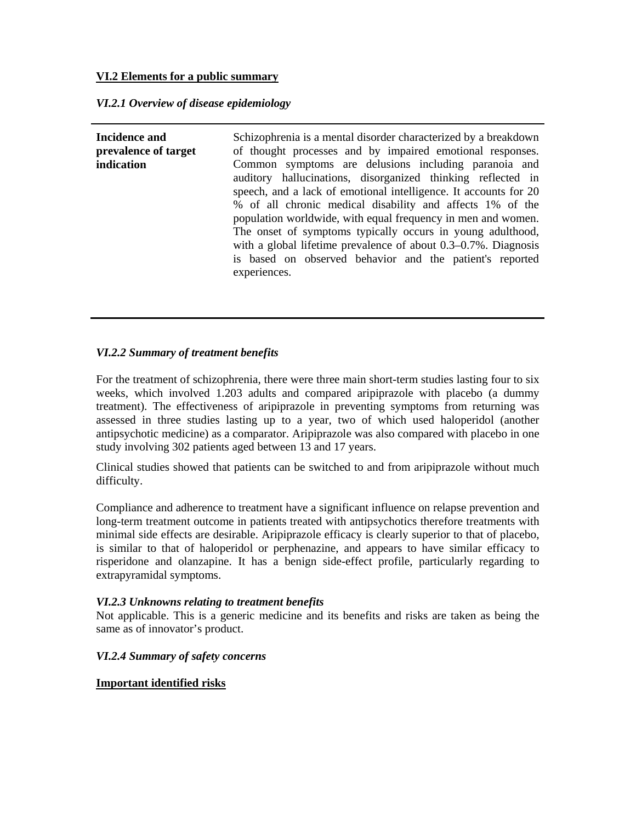## **VI.2 Elements for a public summary**

## *VI.2.1 Overview of disease epidemiology*

**Incidence and prevalence of target indication**  Schizophrenia is a mental disorder characterized by a breakdown of thought processes and by impaired emotional responses. Common symptoms are delusions including paranoia and auditory hallucinations, disorganized thinking reflected in speech, and a lack of emotional intelligence. It accounts for 20 % of all chronic medical disability and affects 1% of the population worldwide, with equal frequency in men and women. The onset of symptoms typically occurs in young adulthood, with a global lifetime prevalence of about 0.3–0.7%. Diagnosis is based on observed behavior and the patient's reported experiences.

## *VI.2.2 Summary of treatment benefits*

For the treatment of schizophrenia, there were three main short-term studies lasting four to six weeks, which involved 1.203 adults and compared aripiprazole with placebo (a dummy treatment). The effectiveness of aripiprazole in preventing symptoms from returning was assessed in three studies lasting up to a year, two of which used haloperidol (another antipsychotic medicine) as a comparator. Aripiprazole was also compared with placebo in one study involving 302 patients aged between 13 and 17 years.

Clinical studies showed that patients can be switched to and from aripiprazole without much difficulty.

Compliance and adherence to treatment have a significant influence on relapse prevention and long-term treatment outcome in patients treated with antipsychotics therefore treatments with minimal side effects are desirable. Aripiprazole efficacy is clearly superior to that of placebo, is similar to that of haloperidol or perphenazine, and appears to have similar efficacy to risperidone and olanzapine. It has a benign side-effect profile, particularly regarding to extrapyramidal symptoms.

#### *VI.2.3 Unknowns relating to treatment benefits*

Not applicable. This is a generic medicine and its benefits and risks are taken as being the same as of innovator's product.

## *VI.2.4 Summary of safety concerns*

#### **Important identified risks**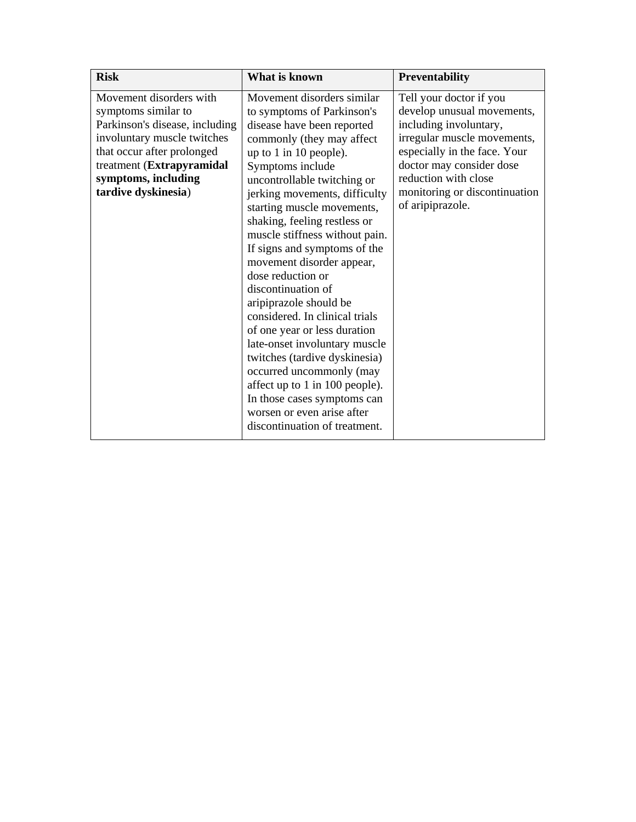| <b>Risk</b>                                                                                                                                                                                                              | What is known                                                                                                                                                                                                                                                                                                                                                                                                                                                                                                                                                                                                                                                                                                                                                       | <b>Preventability</b>                                                                                                                                                                                                                                   |
|--------------------------------------------------------------------------------------------------------------------------------------------------------------------------------------------------------------------------|---------------------------------------------------------------------------------------------------------------------------------------------------------------------------------------------------------------------------------------------------------------------------------------------------------------------------------------------------------------------------------------------------------------------------------------------------------------------------------------------------------------------------------------------------------------------------------------------------------------------------------------------------------------------------------------------------------------------------------------------------------------------|---------------------------------------------------------------------------------------------------------------------------------------------------------------------------------------------------------------------------------------------------------|
| Movement disorders with<br>symptoms similar to<br>Parkinson's disease, including<br>involuntary muscle twitches<br>that occur after prolonged<br>treatment (Extrapyramidal<br>symptoms, including<br>tardive dyskinesia) | Movement disorders similar<br>to symptoms of Parkinson's<br>disease have been reported<br>commonly (they may affect<br>up to 1 in 10 people).<br>Symptoms include<br>uncontrollable twitching or<br>jerking movements, difficulty<br>starting muscle movements,<br>shaking, feeling restless or<br>muscle stiffness without pain.<br>If signs and symptoms of the<br>movement disorder appear,<br>dose reduction or<br>discontinuation of<br>aripiprazole should be<br>considered. In clinical trials<br>of one year or less duration<br>late-onset involuntary muscle<br>twitches (tardive dyskinesia)<br>occurred uncommonly (may<br>affect up to 1 in 100 people).<br>In those cases symptoms can<br>worsen or even arise after<br>discontinuation of treatment. | Tell your doctor if you<br>develop unusual movements,<br>including involuntary,<br>irregular muscle movements,<br>especially in the face. Your<br>doctor may consider dose<br>reduction with close<br>monitoring or discontinuation<br>of aripiprazole. |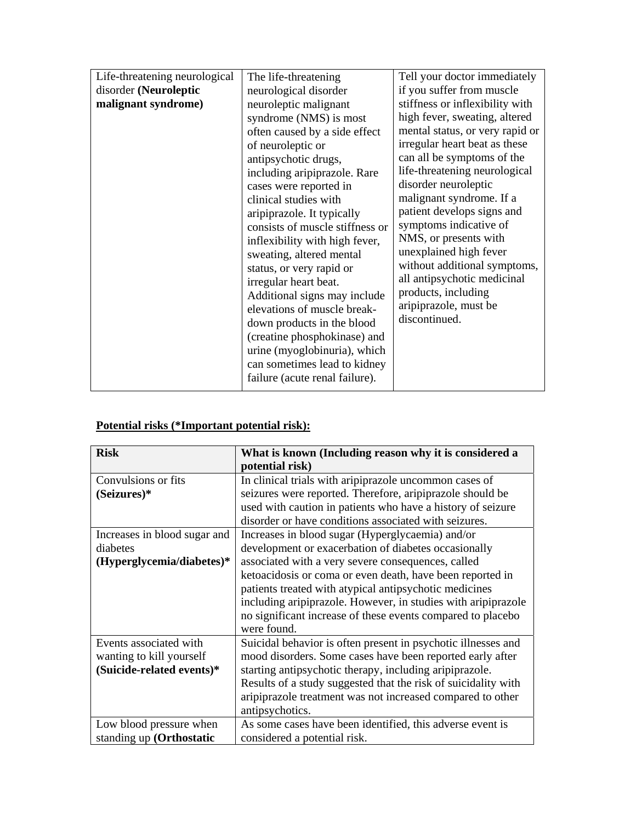| Life-threatening neurological | The life-threatening            | Tell your doctor immediately    |
|-------------------------------|---------------------------------|---------------------------------|
| disorder (Neuroleptic         | neurological disorder           | if you suffer from muscle       |
| malignant syndrome)           | neuroleptic malignant           | stiffness or inflexibility with |
|                               | syndrome (NMS) is most          | high fever, sweating, altered   |
|                               | often caused by a side effect   | mental status, or very rapid or |
|                               | of neuroleptic or               | irregular heart beat as these   |
|                               | antipsychotic drugs,            | can all be symptoms of the      |
|                               | including aripiprazole. Rare    | life-threatening neurological   |
|                               | cases were reported in          | disorder neuroleptic            |
|                               | clinical studies with           | malignant syndrome. If a        |
|                               | aripiprazole. It typically      | patient develops signs and      |
|                               | consists of muscle stiffness or | symptoms indicative of          |
|                               | inflexibility with high fever,  | NMS, or presents with           |
|                               | sweating, altered mental        | unexplained high fever          |
|                               | status, or very rapid or        | without additional symptoms,    |
|                               | irregular heart beat.           | all antipsychotic medicinal     |
|                               | Additional signs may include    | products, including             |
|                               | elevations of muscle break-     | aripiprazole, must be           |
|                               | down products in the blood      | discontinued.                   |
|                               | (creatine phosphokinase) and    |                                 |
|                               | urine (myoglobinuria), which    |                                 |
|                               | can sometimes lead to kidney    |                                 |
|                               | failure (acute renal failure).  |                                 |
|                               |                                 |                                 |

# **Potential risks (\*Important potential risk):**

| <b>Risk</b>                                                                     | What is known (Including reason why it is considered a<br>potential risk)                                                                                                                                                                                                                                                                                                                                                            |
|---------------------------------------------------------------------------------|--------------------------------------------------------------------------------------------------------------------------------------------------------------------------------------------------------------------------------------------------------------------------------------------------------------------------------------------------------------------------------------------------------------------------------------|
| Convulsions or fits<br>(Seizures)*                                              | In clinical trials with aripiprazole uncommon cases of<br>seizures were reported. Therefore, aripiprazole should be<br>used with caution in patients who have a history of seizure<br>disorder or have conditions associated with seizures.                                                                                                                                                                                          |
| Increases in blood sugar and<br>diabetes<br>(Hyperglycemia/diabetes)*           | Increases in blood sugar (Hyperglycaemia) and/or<br>development or exacerbation of diabetes occasionally<br>associated with a very severe consequences, called<br>ketoacidosis or coma or even death, have been reported in<br>patients treated with atypical antipsychotic medicines<br>including aripiprazole. However, in studies with aripiprazole<br>no significant increase of these events compared to placebo<br>were found. |
| Events associated with<br>wanting to kill yourself<br>(Suicide-related events)* | Suicidal behavior is often present in psychotic illnesses and<br>mood disorders. Some cases have been reported early after<br>starting antipsychotic therapy, including aripiprazole.<br>Results of a study suggested that the risk of suicidality with<br>aripiprazole treatment was not increased compared to other<br>antipsychotics.                                                                                             |
| Low blood pressure when<br>standing up (Orthostatic                             | As some cases have been identified, this adverse event is<br>considered a potential risk.                                                                                                                                                                                                                                                                                                                                            |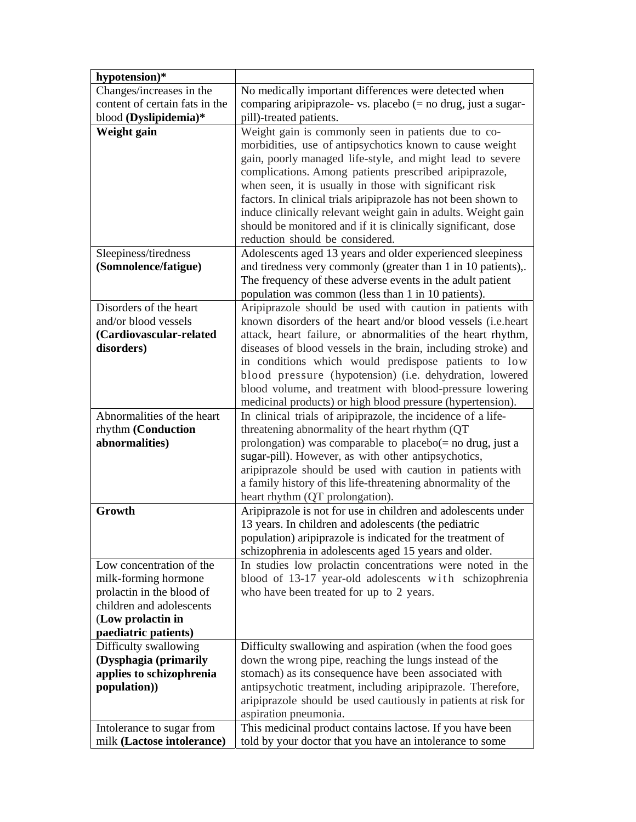| hypotension)*                         |                                                                                                                                                                                                                                                                                                                                                                                                                                                                                                                                          |
|---------------------------------------|------------------------------------------------------------------------------------------------------------------------------------------------------------------------------------------------------------------------------------------------------------------------------------------------------------------------------------------------------------------------------------------------------------------------------------------------------------------------------------------------------------------------------------------|
| Changes/increases in the              | No medically important differences were detected when                                                                                                                                                                                                                                                                                                                                                                                                                                                                                    |
| content of certain fats in the        | comparing aripiprazole- vs. placebo $(=$ no drug, just a sugar-                                                                                                                                                                                                                                                                                                                                                                                                                                                                          |
| blood (Dyslipidemia)*                 | pill)-treated patients.                                                                                                                                                                                                                                                                                                                                                                                                                                                                                                                  |
| Weight gain                           | Weight gain is commonly seen in patients due to co-<br>morbidities, use of antipsychotics known to cause weight<br>gain, poorly managed life-style, and might lead to severe<br>complications. Among patients prescribed aripiprazole,<br>when seen, it is usually in those with significant risk<br>factors. In clinical trials aripiprazole has not been shown to<br>induce clinically relevant weight gain in adults. Weight gain<br>should be monitored and if it is clinically significant, dose<br>reduction should be considered. |
| Sleepiness/tiredness                  | Adolescents aged 13 years and older experienced sleepiness                                                                                                                                                                                                                                                                                                                                                                                                                                                                               |
| (Somnolence/fatigue)                  | and tiredness very commonly (greater than 1 in 10 patients),.                                                                                                                                                                                                                                                                                                                                                                                                                                                                            |
|                                       | The frequency of these adverse events in the adult patient                                                                                                                                                                                                                                                                                                                                                                                                                                                                               |
|                                       | population was common (less than 1 in 10 patients).                                                                                                                                                                                                                                                                                                                                                                                                                                                                                      |
| Disorders of the heart                | Aripiprazole should be used with caution in patients with                                                                                                                                                                                                                                                                                                                                                                                                                                                                                |
| and/or blood vessels                  | known disorders of the heart and/or blood vessels ( <i>i.e.heart</i> )                                                                                                                                                                                                                                                                                                                                                                                                                                                                   |
| (Cardiovascular-related<br>disorders) | attack, heart failure, or abnormalities of the heart rhythm,                                                                                                                                                                                                                                                                                                                                                                                                                                                                             |
|                                       | diseases of blood vessels in the brain, including stroke) and<br>in conditions which would predispose patients to low                                                                                                                                                                                                                                                                                                                                                                                                                    |
|                                       | blood pressure (hypotension) (i.e. dehydration, lowered                                                                                                                                                                                                                                                                                                                                                                                                                                                                                  |
|                                       | blood volume, and treatment with blood-pressure lowering                                                                                                                                                                                                                                                                                                                                                                                                                                                                                 |
|                                       | medicinal products) or high blood pressure (hypertension).                                                                                                                                                                                                                                                                                                                                                                                                                                                                               |
| Abnormalities of the heart            | In clinical trials of aripiprazole, the incidence of a life-                                                                                                                                                                                                                                                                                                                                                                                                                                                                             |
| rhythm (Conduction                    | threatening abnormality of the heart rhythm (QT)                                                                                                                                                                                                                                                                                                                                                                                                                                                                                         |
| abnormalities)                        | prolongation) was comparable to placebo $(=$ no drug, just a                                                                                                                                                                                                                                                                                                                                                                                                                                                                             |
|                                       | sugar-pill). However, as with other antipsychotics,                                                                                                                                                                                                                                                                                                                                                                                                                                                                                      |
|                                       | aripiprazole should be used with caution in patients with                                                                                                                                                                                                                                                                                                                                                                                                                                                                                |
|                                       | a family history of this life-threatening abnormality of the                                                                                                                                                                                                                                                                                                                                                                                                                                                                             |
|                                       | heart rhythm (QT prolongation).                                                                                                                                                                                                                                                                                                                                                                                                                                                                                                          |
| Growth                                | Aripiprazole is not for use in children and adolescents under                                                                                                                                                                                                                                                                                                                                                                                                                                                                            |
|                                       | 13 years. In children and adolescents (the pediatric<br>population) aripiprazole is indicated for the treatment of                                                                                                                                                                                                                                                                                                                                                                                                                       |
|                                       | schizophrenia in adolescents aged 15 years and older.                                                                                                                                                                                                                                                                                                                                                                                                                                                                                    |
| Low concentration of the              | In studies low prolactin concentrations were noted in the                                                                                                                                                                                                                                                                                                                                                                                                                                                                                |
| milk-forming hormone                  | blood of 13-17 year-old adolescents with schizophrenia                                                                                                                                                                                                                                                                                                                                                                                                                                                                                   |
| prolactin in the blood of             | who have been treated for up to 2 years.                                                                                                                                                                                                                                                                                                                                                                                                                                                                                                 |
| children and adolescents              |                                                                                                                                                                                                                                                                                                                                                                                                                                                                                                                                          |
| (Low prolactin in                     |                                                                                                                                                                                                                                                                                                                                                                                                                                                                                                                                          |
| paediatric patients)                  |                                                                                                                                                                                                                                                                                                                                                                                                                                                                                                                                          |
| Difficulty swallowing                 | Difficulty swallowing and aspiration (when the food goes                                                                                                                                                                                                                                                                                                                                                                                                                                                                                 |
| (Dysphagia (primarily                 | down the wrong pipe, reaching the lungs instead of the                                                                                                                                                                                                                                                                                                                                                                                                                                                                                   |
| applies to schizophrenia              | stomach) as its consequence have been associated with                                                                                                                                                                                                                                                                                                                                                                                                                                                                                    |
| population))                          | antipsychotic treatment, including aripiprazole. Therefore,                                                                                                                                                                                                                                                                                                                                                                                                                                                                              |
|                                       | aripiprazole should be used cautiously in patients at risk for                                                                                                                                                                                                                                                                                                                                                                                                                                                                           |
|                                       | aspiration pneumonia.                                                                                                                                                                                                                                                                                                                                                                                                                                                                                                                    |
| Intolerance to sugar from             | This medicinal product contains lactose. If you have been                                                                                                                                                                                                                                                                                                                                                                                                                                                                                |
| milk (Lactose intolerance)            | told by your doctor that you have an intolerance to some                                                                                                                                                                                                                                                                                                                                                                                                                                                                                 |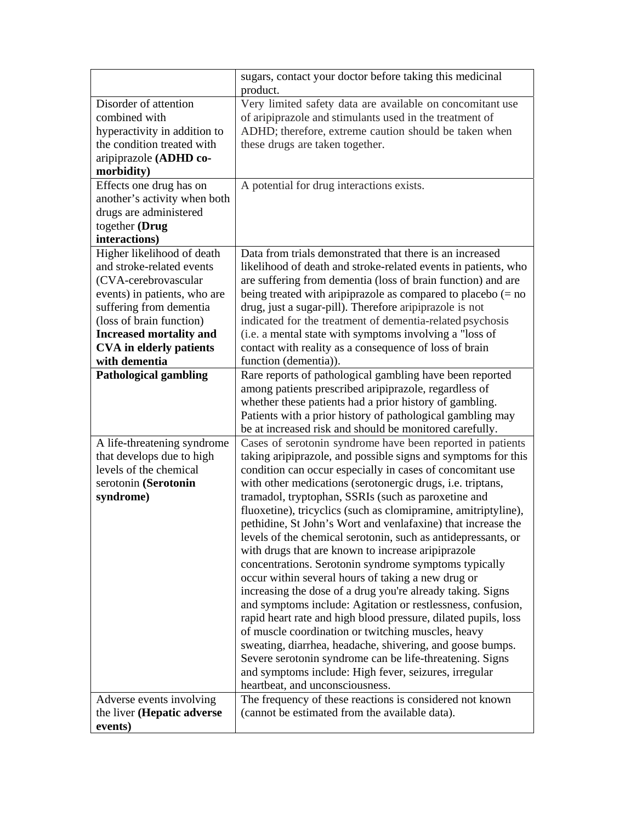|                                                                                                                                                                                                                                                             | sugars, contact your doctor before taking this medicinal<br>product.                                                                                                                                                                                                                                                                                                                                                                                                                                                                                                                                                                                                                                                                                                                                                                                                                                                                                                                                                                                                                                                                                             |
|-------------------------------------------------------------------------------------------------------------------------------------------------------------------------------------------------------------------------------------------------------------|------------------------------------------------------------------------------------------------------------------------------------------------------------------------------------------------------------------------------------------------------------------------------------------------------------------------------------------------------------------------------------------------------------------------------------------------------------------------------------------------------------------------------------------------------------------------------------------------------------------------------------------------------------------------------------------------------------------------------------------------------------------------------------------------------------------------------------------------------------------------------------------------------------------------------------------------------------------------------------------------------------------------------------------------------------------------------------------------------------------------------------------------------------------|
| Disorder of attention<br>combined with<br>hyperactivity in addition to<br>the condition treated with<br>aripiprazole (ADHD co-<br>morbidity)                                                                                                                | Very limited safety data are available on concomitant use<br>of aripiprazole and stimulants used in the treatment of<br>ADHD; therefore, extreme caution should be taken when<br>these drugs are taken together.                                                                                                                                                                                                                                                                                                                                                                                                                                                                                                                                                                                                                                                                                                                                                                                                                                                                                                                                                 |
| Effects one drug has on<br>another's activity when both<br>drugs are administered<br>together (Drug<br>interactions)                                                                                                                                        | A potential for drug interactions exists.                                                                                                                                                                                                                                                                                                                                                                                                                                                                                                                                                                                                                                                                                                                                                                                                                                                                                                                                                                                                                                                                                                                        |
| Higher likelihood of death<br>and stroke-related events<br>(CVA-cerebrovascular<br>events) in patients, who are<br>suffering from dementia<br>(loss of brain function)<br><b>Increased mortality and</b><br><b>CVA</b> in elderly patients<br>with dementia | Data from trials demonstrated that there is an increased<br>likelihood of death and stroke-related events in patients, who<br>are suffering from dementia (loss of brain function) and are<br>being treated with aripiprazole as compared to placebo $(= no$<br>drug, just a sugar-pill). Therefore aripiprazole is not<br>indicated for the treatment of dementia-related psychosis<br>(i.e. a mental state with symptoms involving a "loss of<br>contact with reality as a consequence of loss of brain<br>function (dementia)).                                                                                                                                                                                                                                                                                                                                                                                                                                                                                                                                                                                                                               |
| <b>Pathological gambling</b>                                                                                                                                                                                                                                | Rare reports of pathological gambling have been reported<br>among patients prescribed aripiprazole, regardless of<br>whether these patients had a prior history of gambling.<br>Patients with a prior history of pathological gambling may<br>be at increased risk and should be monitored carefully.                                                                                                                                                                                                                                                                                                                                                                                                                                                                                                                                                                                                                                                                                                                                                                                                                                                            |
| A life-threatening syndrome<br>that develops due to high<br>levels of the chemical<br>serotonin (Serotonin<br>syndrome)                                                                                                                                     | Cases of serotonin syndrome have been reported in patients<br>taking aripiprazole, and possible signs and symptoms for this<br>condition can occur especially in cases of concomitant use<br>with other medications (serotonergic drugs, i.e. triptans,<br>tramadol, tryptophan, SSRIs (such as paroxetine and<br>fluoxetine), tricyclics (such as clomipramine, amitriptyline),<br>pethidine, St John's Wort and venlafaxine) that increase the<br>levels of the chemical serotonin, such as antidepressants, or<br>with drugs that are known to increase aripiprazole<br>concentrations. Serotonin syndrome symptoms typically<br>occur within several hours of taking a new drug or<br>increasing the dose of a drug you're already taking. Signs<br>and symptoms include: Agitation or restlessness, confusion,<br>rapid heart rate and high blood pressure, dilated pupils, loss<br>of muscle coordination or twitching muscles, heavy<br>sweating, diarrhea, headache, shivering, and goose bumps.<br>Severe serotonin syndrome can be life-threatening. Signs<br>and symptoms include: High fever, seizures, irregular<br>heartbeat, and unconsciousness. |
| Adverse events involving<br>the liver ( <b>Hepatic adverse</b><br>events)                                                                                                                                                                                   | The frequency of these reactions is considered not known<br>(cannot be estimated from the available data).                                                                                                                                                                                                                                                                                                                                                                                                                                                                                                                                                                                                                                                                                                                                                                                                                                                                                                                                                                                                                                                       |